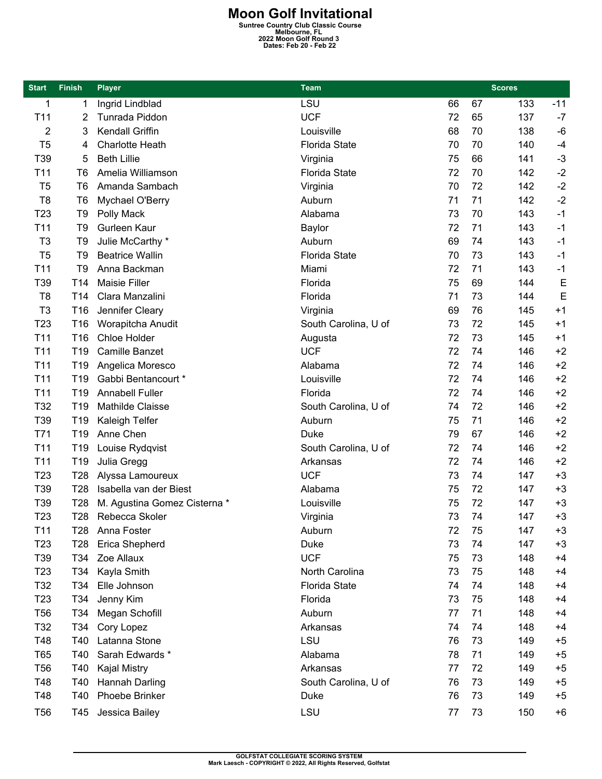**Moon Golf Invitational**<br>
Suntree Country Club Classic Course<br>
2022 Moon Golf Round 3<br>
Dates: Feb 20 - Feb 22

| <b>Start</b>    | <b>Finish</b>   | <b>Player</b>                | <b>Team</b>          |    | <b>Scores</b> |       |  |
|-----------------|-----------------|------------------------------|----------------------|----|---------------|-------|--|
| 1               | 1               | Ingrid Lindblad              | LSU                  | 66 | 67<br>133     | $-11$ |  |
| T <sub>11</sub> | 2               | Tunrada Piddon               | <b>UCF</b>           | 72 | 65<br>137     | $-7$  |  |
| 2               | 3               | Kendall Griffin              | Louisville           | 68 | 70<br>138     | $-6$  |  |
| T <sub>5</sub>  | 4               | <b>Charlotte Heath</b>       | <b>Florida State</b> | 70 | 70<br>140     | $-4$  |  |
| T39             | 5               | <b>Beth Lillie</b>           | Virginia             | 75 | 66<br>141     | $-3$  |  |
| T <sub>11</sub> | T6              | Amelia Williamson            | <b>Florida State</b> | 72 | 70<br>142     | $-2$  |  |
| T <sub>5</sub>  | T <sub>6</sub>  | Amanda Sambach               | Virginia             | 70 | 72<br>142     | $-2$  |  |
| T <sub>8</sub>  | T <sub>6</sub>  | Mychael O'Berry              | Auburn               | 71 | 71<br>142     | $-2$  |  |
| T <sub>23</sub> | T <sub>9</sub>  | Polly Mack                   | Alabama              | 73 | 70<br>143     | $-1$  |  |
| T11             | T9              | Gurleen Kaur                 | Baylor               | 72 | 71<br>143     | $-1$  |  |
| T <sub>3</sub>  | T <sub>9</sub>  | Julie McCarthy *             | Auburn               | 69 | 74<br>143     | $-1$  |  |
| T <sub>5</sub>  | T <sub>9</sub>  | <b>Beatrice Wallin</b>       | <b>Florida State</b> | 70 | 73<br>143     | $-1$  |  |
| T11             | T9              | Anna Backman                 | Miami                | 72 | 71<br>143     | $-1$  |  |
| T39             | T14             | <b>Maisie Filler</b>         | Florida              | 75 | 69<br>144     | E     |  |
| T <sub>8</sub>  | T <sub>14</sub> | Clara Manzalini              | Florida              | 71 | 73<br>144     | E     |  |
| T <sub>3</sub>  | T <sub>16</sub> | Jennifer Cleary              | Virginia             | 69 | 76<br>145     | $+1$  |  |
| T <sub>23</sub> | T <sub>16</sub> | Worapitcha Anudit            | South Carolina, U of | 73 | 72<br>145     | $+1$  |  |
| T <sub>11</sub> | T <sub>16</sub> | Chloe Holder                 | Augusta              | 72 | 73<br>145     | $+1$  |  |
| T11             | T19             | Camille Banzet               | <b>UCF</b>           | 72 | 74<br>146     | $+2$  |  |
| T11             | T <sub>19</sub> | Angelica Moresco             | Alabama              | 72 | 74<br>146     | $+2$  |  |
| T11             | T <sub>19</sub> | Gabbi Bentancourt *          | Louisville           | 72 | 74<br>146     | $+2$  |  |
| T11             | T <sub>19</sub> | <b>Annabell Fuller</b>       | Florida              | 72 | 74<br>146     | $+2$  |  |
| T32             | T <sub>19</sub> | Mathilde Claisse             | South Carolina, U of | 74 | 72<br>146     | $+2$  |  |
| T39             | T <sub>19</sub> | Kaleigh Telfer               | Auburn               | 75 | 71<br>146     | $+2$  |  |
| T71             | T <sub>19</sub> | Anne Chen                    | <b>Duke</b>          | 79 | 67<br>146     | $+2$  |  |
| T11             | T <sub>19</sub> | Louise Rydqvist              | South Carolina, U of | 72 | 74<br>146     | $+2$  |  |
| T11             | T <sub>19</sub> | Julia Gregg                  | Arkansas             | 72 | 74<br>146     | $+2$  |  |
| T <sub>23</sub> | T <sub>28</sub> | Alyssa Lamoureux             | <b>UCF</b>           | 73 | 74<br>147     | $+3$  |  |
| T39             | T <sub>28</sub> | Isabella van der Biest       | Alabama              | 75 | 72<br>147     | $+3$  |  |
| T39             | T <sub>28</sub> | M. Agustina Gomez Cisterna * | Louisville           | 75 | 72<br>147     | $+3$  |  |
| T <sub>23</sub> | T <sub>28</sub> | Rebecca Skoler               | Virginia             | 73 | 74<br>147     | $+3$  |  |
| T11             | T28             | Anna Foster                  | Auburn               | 72 | 75<br>147     | $+3$  |  |
| T <sub>23</sub> | T <sub>28</sub> | Erica Shepherd               | Duke                 | 73 | 74<br>147     | $+3$  |  |
| T39             | T34             | Zoe Allaux                   | <b>UCF</b>           | 75 | 73<br>148     | $+4$  |  |
| T <sub>23</sub> | T34             | Kayla Smith                  | North Carolina       | 73 | 75<br>148     | $+4$  |  |
| T32             | T34             | Elle Johnson                 | <b>Florida State</b> | 74 | 74<br>148     | $+4$  |  |
| T <sub>23</sub> | T34             | Jenny Kim                    | Florida              | 73 | 75<br>148     | $+4$  |  |
| T <sub>56</sub> | T34             | Megan Schofill               | Auburn               | 77 | 71<br>148     | $+4$  |  |
| T32             | T34             | Cory Lopez                   | Arkansas             | 74 | 74<br>148     | $+4$  |  |
| T48             | T40             | Latanna Stone                | <b>LSU</b>           | 76 | 73<br>149     | $+5$  |  |
| T65             | T40             | Sarah Edwards *              | Alabama              | 78 | 71<br>149     | $+5$  |  |
| <b>T56</b>      | T40             | Kajal Mistry                 | Arkansas             | 77 | 72<br>149     | $+5$  |  |
| T48             | T40             | Hannah Darling               | South Carolina, U of | 76 | 73<br>149     | $+5$  |  |
| T48             | T40             | Phoebe Brinker               | Duke                 | 76 | 73<br>149     | $+5$  |  |
|                 |                 |                              |                      |    |               |       |  |
| <b>T56</b>      | T45             | Jessica Bailey               | LSU                  | 77 | 73<br>150     | $+6$  |  |